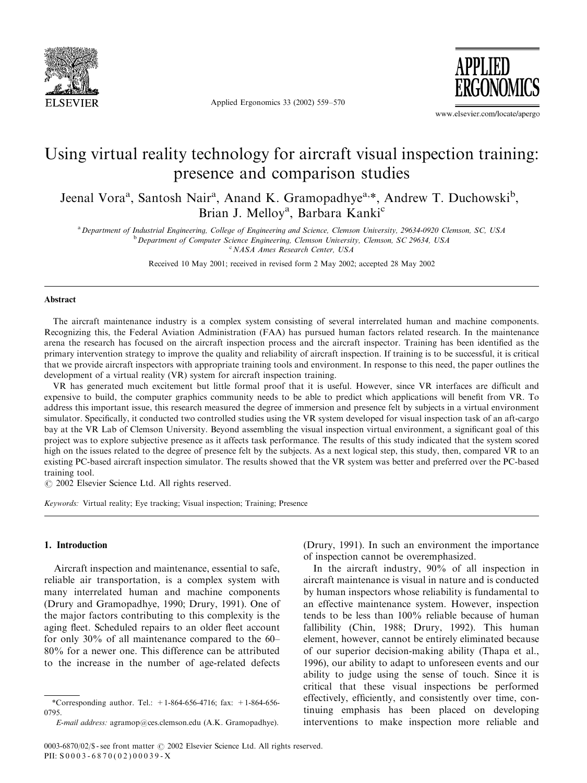

Applied Ergonomics 33 (2002) 559–570



www.elsevier.com/locate/apergo

# Using virtual reality technology for aircraft visual inspection training: presence and comparison studies

Jeenal Vora<sup>a</sup>, Santosh Nair<sup>a</sup>, Anand K. Gramopadhye<sup>a,\*</sup>, Andrew T. Duchowski<sup>b</sup>, Brian J. Melloy<sup>a</sup>, Barbara Kanki<sup>c</sup>

a Department of Industrial Engineering, College of Engineering and Science, Clemson University, 29634-0920 Clemson, SC, USA  $b$  Department of Computer Science Engineering, Clemson University, Clemson, SC 29634, USA

c NASA Ames Research Center, USA

Received 10 May 2001; received in revised form 2 May 2002; accepted 28 May 2002

#### Abstract

The aircraft maintenance industry is a complex system consisting of several interrelated human and machine components. Recognizing this, the Federal Aviation Administration (FAA) has pursued human factors related research. In the maintenance arena the research has focused on the aircraft inspection process and the aircraft inspector. Training has been identified as the primary intervention strategy to improve the quality and reliability of aircraft inspection. If training is to be successful, it is critical that we provide aircraft inspectors with appropriate training tools and environment. In response to this need, the paper outlines the development of a virtual reality (VR) system for aircraft inspection training.

VR has generated much excitement but little formal proof that it is useful. However, since VR interfaces are difficult and expensive to build, the computer graphics community needs to be able to predict which applications will benefit from VR. To address this important issue, this research measured the degree of immersion and presence felt by subjects in a virtual environment simulator. Specifically, it conducted two controlled studies using the VR system developed for visual inspection task of an aft-cargo bay at the VR Lab of Clemson University. Beyond assembling the visual inspection virtual environment, a significant goal of this project was to explore subjective presence as it affects task performance. The results of this study indicated that the system scored high on the issues related to the degree of presence felt by the subjects. As a next logical step, this study, then, compared VR to an existing PC-based aircraft inspection simulator. The results showed that the VR system was better and preferred over the PC-based training tool.

 $C$  2002 Elsevier Science Ltd. All rights reserved.

Keywords: Virtual reality; Eye tracking; Visual inspection; Training; Presence

## 1. Introduction

Aircraft inspection and maintenance, essential to safe, reliable air transportation, is a complex system with many interrelated human and machine components (Drury and Gramopadhye, 1990; Drury, 1991). One of the major factors contributing to this complexity is the aging fleet. Scheduled repairs to an older fleet account for only 30% of all maintenance compared to the 60– 80% for a newer one. This difference can be attributed to the increase in the number of age-related defects

(Drury, 1991). In such an environment the importance of inspection cannot be overemphasized.

In the aircraft industry, 90% of all inspection in aircraft maintenance is visual in nature and is conducted by human inspectors whose reliability is fundamental to an effective maintenance system. However, inspection tends to be less than 100% reliable because of human fallibility (Chin, 1988; Drury, 1992). This human element, however, cannot be entirely eliminated because of our superior decision-making ability (Thapa et al., 1996), our ability to adapt to unforeseen events and our ability to judge using the sense of touch. Since it is critical that these visual inspections be performed effectively, efficiently, and consistently over time, continuing emphasis has been placed on developing interventions to make inspection more reliable and

<sup>\*</sup>Corresponding author. Tel.:  $+1-864-656-4716$ ; fax:  $+1-864-656-$ 0795.

E-mail address: agramop@ces.clemson.edu (A.K. Gramopadhye).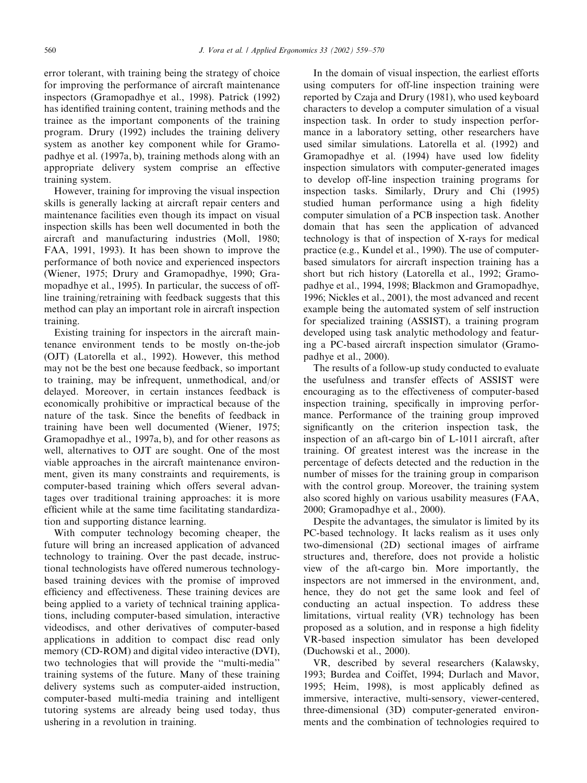error tolerant, with training being the strategy of choice for improving the performance of aircraft maintenance inspectors (Gramopadhye et al., 1998). Patrick (1992) has identified training content, training methods and the trainee as the important components of the training program. Drury (1992) includes the training delivery system as another key component while for Gramopadhye et al. (1997a, b), training methods along with an appropriate delivery system comprise an effective training system.

However, training for improving the visual inspection skills is generally lacking at aircraft repair centers and maintenance facilities even though its impact on visual inspection skills has been well documented in both the aircraft and manufacturing industries (Moll, 1980; FAA, 1991, 1993). It has been shown to improve the performance of both novice and experienced inspectors (Wiener, 1975; Drury and Gramopadhye, 1990; Gramopadhye et al., 1995). In particular, the success of offline training/retraining with feedback suggests that this method can play an important role in aircraft inspection training.

Existing training for inspectors in the aircraft maintenance environment tends to be mostly on-the-job (OJT) (Latorella et al., 1992). However, this method may not be the best one because feedback, so important to training, may be infrequent, unmethodical, and/or delayed. Moreover, in certain instances feedback is economically prohibitive or impractical because of the nature of the task. Since the benefits of feedback in training have been well documented (Wiener, 1975; Gramopadhye et al., 1997a, b), and for other reasons as well, alternatives to OJT are sought. One of the most viable approaches in the aircraft maintenance environment, given its many constraints and requirements, is computer-based training which offers several advantages over traditional training approaches: it is more efficient while at the same time facilitating standardization and supporting distance learning.

With computer technology becoming cheaper, the future will bring an increased application of advanced technology to training. Over the past decade, instructional technologists have offered numerous technologybased training devices with the promise of improved efficiency and effectiveness. These training devices are being applied to a variety of technical training applications, including computer-based simulation, interactive videodiscs, and other derivatives of computer-based applications in addition to compact disc read only memory (CD-ROM) and digital video interactive (DVI), two technologies that will provide the ''multi-media'' training systems of the future. Many of these training delivery systems such as computer-aided instruction, computer-based multi-media training and intelligent tutoring systems are already being used today, thus ushering in a revolution in training.

In the domain of visual inspection, the earliest efforts using computers for off-line inspection training were reported by Czaja and Drury (1981), who used keyboard characters to develop a computer simulation of a visual inspection task. In order to study inspection performance in a laboratory setting, other researchers have used similar simulations. Latorella et al. (1992) and Gramopadhye et al. (1994) have used low fidelity inspection simulators with computer-generated images to develop off-line inspection training programs for inspection tasks. Similarly, Drury and Chi (1995) studied human performance using a high fidelity computer simulation of a PCB inspection task. Another domain that has seen the application of advanced technology is that of inspection of X-rays for medical practice (e.g., Kundel et al., 1990). The use of computerbased simulators for aircraft inspection training has a short but rich history (Latorella et al., 1992; Gramopadhye et al., 1994, 1998; Blackmon and Gramopadhye, 1996; Nickles et al., 2001), the most advanced and recent example being the automated system of self instruction for specialized training (ASSIST), a training program developed using task analytic methodology and featuring a PC-based aircraft inspection simulator (Gramopadhye et al., 2000).

The results of a follow-up study conducted to evaluate the usefulness and transfer effects of ASSIST were encouraging as to the effectiveness of computer-based inspection training, specifically in improving performance. Performance of the training group improved significantly on the criterion inspection task, the inspection of an aft-cargo bin of L-1011 aircraft, after training. Of greatest interest was the increase in the percentage of defects detected and the reduction in the number of misses for the training group in comparison with the control group. Moreover, the training system also scored highly on various usability measures (FAA, 2000; Gramopadhye et al., 2000).

Despite the advantages, the simulator is limited by its PC-based technology. It lacks realism as it uses only two-dimensional (2D) sectional images of airframe structures and, therefore, does not provide a holistic view of the aft-cargo bin. More importantly, the inspectors are not immersed in the environment, and, hence, they do not get the same look and feel of conducting an actual inspection. To address these limitations, virtual reality (VR) technology has been proposed as a solution, and in response a high fidelity VR-based inspection simulator has been developed (Duchowski et al., 2000).

VR, described by several researchers (Kalawsky, 1993; Burdea and Coiffet, 1994; Durlach and Mavor, 1995; Heim, 1998), is most applicably defined as immersive, interactive, multi-sensory, viewer-centered, three-dimensional (3D) computer-generated environments and the combination of technologies required to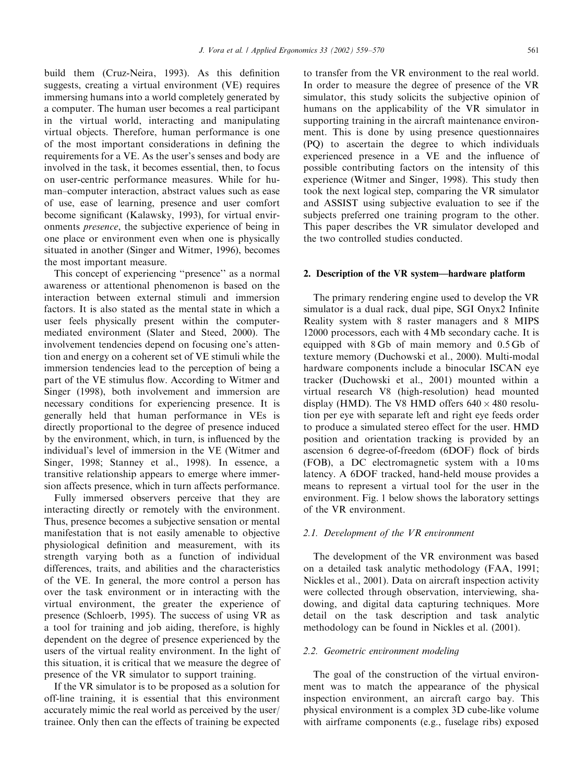build them (Cruz-Neira, 1993). As this definition suggests, creating a virtual environment (VE) requires immersing humans into a world completely generated by a computer. The human user becomes a real participant in the virtual world, interacting and manipulating virtual objects. Therefore, human performance is one of the most important considerations in defining the requirements for a VE. As the user's senses and body are involved in the task, it becomes essential, then, to focus on user-centric performance measures. While for human–computer interaction, abstract values such as ease of use, ease of learning, presence and user comfort become significant (Kalawsky, 1993), for virtual environments presence, the subjective experience of being in one place or environment even when one is physically situated in another (Singer and Witmer, 1996), becomes the most important measure.

This concept of experiencing ''presence'' as a normal awareness or attentional phenomenon is based on the interaction between external stimuli and immersion factors. It is also stated as the mental state in which a user feels physically present within the computermediated environment (Slater and Steed, 2000). The involvement tendencies depend on focusing one's attention and energy on a coherent set of VE stimuli while the immersion tendencies lead to the perception of being a part of the VE stimulus flow. According to Witmer and Singer (1998), both involvement and immersion are necessary conditions for experiencing presence. It is generally held that human performance in VEs is directly proportional to the degree of presence induced by the environment, which, in turn, is influenced by the individual's level of immersion in the VE (Witmer and Singer, 1998; Stanney et al., 1998). In essence, a transitive relationship appears to emerge where immersion affects presence, which in turn affects performance.

Fully immersed observers perceive that they are interacting directly or remotely with the environment. Thus, presence becomes a subjective sensation or mental manifestation that is not easily amenable to objective physiological definition and measurement, with its strength varying both as a function of individual differences, traits, and abilities and the characteristics of the VE. In general, the more control a person has over the task environment or in interacting with the virtual environment, the greater the experience of presence (Schloerb, 1995). The success of using VR as a tool for training and job aiding, therefore, is highly dependent on the degree of presence experienced by the users of the virtual reality environment. In the light of this situation, it is critical that we measure the degree of presence of the VR simulator to support training.

If the VR simulator is to be proposed as a solution for off-line training, it is essential that this environment accurately mimic the real world as perceived by the user/ trainee. Only then can the effects of training be expected

to transfer from the VR environment to the real world. In order to measure the degree of presence of the VR simulator, this study solicits the subjective opinion of humans on the applicability of the VR simulator in supporting training in the aircraft maintenance environment. This is done by using presence questionnaires (PQ) to ascertain the degree to which individuals experienced presence in a VE and the influence of possible contributing factors on the intensity of this experience (Witmer and Singer, 1998). This study then took the next logical step, comparing the VR simulator and ASSIST using subjective evaluation to see if the subjects preferred one training program to the other. This paper describes the VR simulator developed and the two controlled studies conducted.

## 2. Description of the VR system—hardware platform

The primary rendering engine used to develop the VR simulator is a dual rack, dual pipe, SGI Onyx2 Infinite Reality system with 8 raster managers and 8 MIPS 12000 processors, each with 4 Mb secondary cache. It is equipped with 8 Gb of main memory and 0.5 Gb of texture memory (Duchowski et al., 2000). Multi-modal hardware components include a binocular ISCAN eve tracker (Duchowski et al., 2001) mounted within a virtual research V8 (high-resolution) head mounted display (HMD). The V8 HMD offers  $640 \times 480$  resolution per eye with separate left and right eye feeds order to produce a simulated stereo effect for the user. HMD position and orientation tracking is provided by an ascension 6 degree-of-freedom (6DOF) flock of birds (FOB), a DC electromagnetic system with a 10 ms latency. A 6DOF tracked, hand-held mouse provides a means to represent a virtual tool for the user in the environment. Fig. 1 below shows the laboratory settings of the VR environment.

## 2.1. Development of the VR environment

The development of the VR environment was based on a detailed task analytic methodology (FAA, 1991; Nickles et al., 2001). Data on aircraft inspection activity were collected through observation, interviewing, shadowing, and digital data capturing techniques. More detail on the task description and task analytic methodology can be found in Nickles et al. (2001).

#### 2.2. Geometric environment modeling

The goal of the construction of the virtual environment was to match the appearance of the physical inspection environment, an aircraft cargo bay. This physical environment is a complex 3D cube-like volume with airframe components (e.g., fuselage ribs) exposed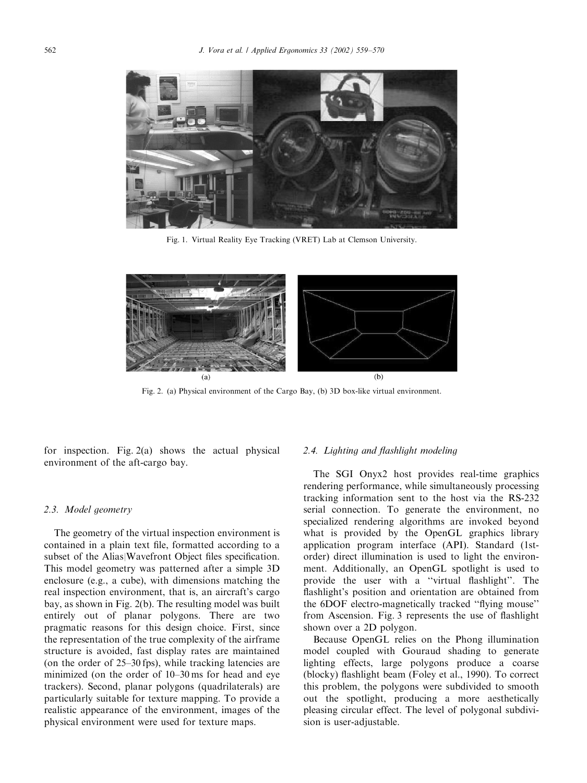

Fig. 1. Virtual Reality Eye Tracking (VRET) Lab at Clemson University.



Fig. 2. (a) Physical environment of the Cargo Bay, (b) 3D box-like virtual environment.

for inspection. Fig. 2(a) shows the actual physical environment of the aft-cargo bay.

## 2.3. Model geometry

The geometry of the virtual inspection environment is contained in a plain text file, formatted according to a subset of the Alias|Wavefront Object files specification. This model geometry was patterned after a simple 3D enclosure (e.g., a cube), with dimensions matching the real inspection environment, that is, an aircraft's cargo bay, as shown in Fig. 2(b). The resulting model was built entirely out of planar polygons. There are two pragmatic reasons for this design choice. First, since the representation of the true complexity of the airframe structure is avoided, fast display rates are maintained (on the order of 25–30 fps), while tracking latencies are minimized (on the order of 10–30 ms for head and eye trackers). Second, planar polygons (quadrilaterals) are particularly suitable for texture mapping. To provide a realistic appearance of the environment, images of the physical environment were used for texture maps.

#### 2.4. Lighting and flashlight modeling

The SGI Onyx2 host provides real-time graphics rendering performance, while simultaneously processing tracking information sent to the host via the RS-232 serial connection. To generate the environment, no specialized rendering algorithms are invoked beyond what is provided by the OpenGL graphics library application program interface (API). Standard (1storder) direct illumination is used to light the environment. Additionally, an OpenGL spotlight is used to provide the user with a ''virtual flashlight''. The flashlight's position and orientation are obtained from the 6DOF electro-magnetically tracked ''flying mouse'' from Ascension. Fig. 3 represents the use of flashlight shown over a 2D polygon.

Because OpenGL relies on the Phong illumination model coupled with Gouraud shading to generate lighting effects, large polygons produce a coarse (blocky) flashlight beam (Foley et al., 1990). To correct this problem, the polygons were subdivided to smooth out the spotlight, producing a more aesthetically pleasing circular effect. The level of polygonal subdivision is user-adjustable.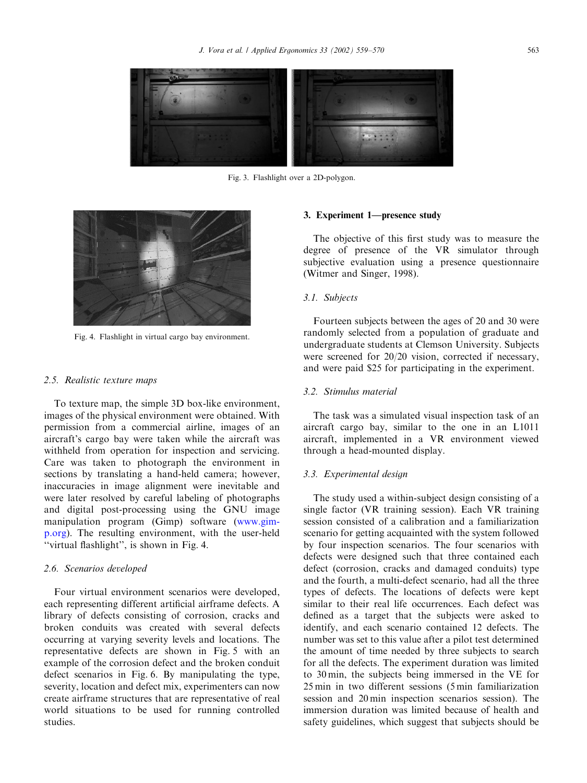

Fig. 3. Flashlight over a 2D-polygon.



Fig. 4. Flashlight in virtual cargo bay environment.

## 2.5. Realistic texture maps

To texture map, the simple 3D box-like environment, images of the physical environment were obtained. With permission from a commercial airline, images of an aircraft's cargo bay were taken while the aircraft was withheld from operation for inspection and servicing. Care was taken to photograph the environment in sections by translating a hand-held camera; however, inaccuracies in image alignment were inevitable and were later resolved by careful labeling of photographs and digital post-processing using the GNU image manipulation program (Gimp) software [\(www.gim](http://www.gimp.org)[p.org](http://www.gimp.org)). The resulting environment, with the user-held ''virtual flashlight'', is shown in Fig. 4.

# 2.6. Scenarios developed

Four virtual environment scenarios were developed, each representing different artificial airframe defects. A library of defects consisting of corrosion, cracks and broken conduits was created with several defects occurring at varying severity levels and locations. The representative defects are shown in Fig. 5 with an example of the corrosion defect and the broken conduit defect scenarios in Fig. 6. By manipulating the type, severity, location and defect mix, experimenters can now create airframe structures that are representative of real world situations to be used for running controlled studies.

## 3. Experiment 1—presence study

The objective of this first study was to measure the degree of presence of the VR simulator through subjective evaluation using a presence questionnaire (Witmer and Singer, 1998).

## 3.1. Subjects

Fourteen subjects between the ages of 20 and 30 were randomly selected from a population of graduate and undergraduate students at Clemson University. Subjects were screened for 20/20 vision, corrected if necessary, and were paid \$25 for participating in the experiment.

# 3.2. Stimulus material

The task was a simulated visual inspection task of an aircraft cargo bay, similar to the one in an L1011 aircraft, implemented in a VR environment viewed through a head-mounted display.

## 3.3. Experimental design

The study used a within-subject design consisting of a single factor (VR training session). Each VR training session consisted of a calibration and a familiarization scenario for getting acquainted with the system followed by four inspection scenarios. The four scenarios with defects were designed such that three contained each defect (corrosion, cracks and damaged conduits) type and the fourth, a multi-defect scenario, had all the three types of defects. The locations of defects were kept similar to their real life occurrences. Each defect was defined as a target that the subjects were asked to identify, and each scenario contained 12 defects. The number was set to this value after a pilot test determined the amount of time needed by three subjects to search for all the defects. The experiment duration was limited to 30 min, the subjects being immersed in the VE for 25 min in two different sessions (5 min familiarization session and 20 min inspection scenarios session). The immersion duration was limited because of health and safety guidelines, which suggest that subjects should be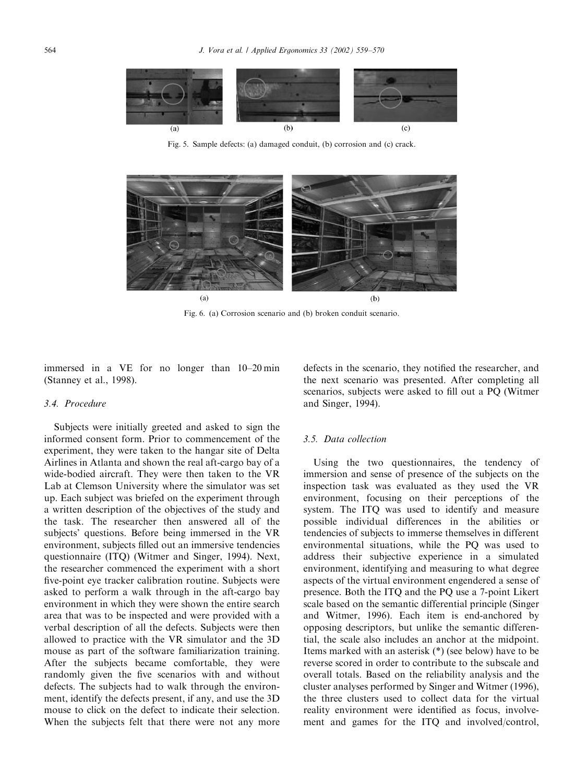

Fig. 5. Sample defects:(a) damaged conduit, (b) corrosion and (c) crack.



Fig. 6. (a) Corrosion scenario and (b) broken conduit scenario.

immersed in a VE for no longer than 10–20 min (Stanney et al., 1998).

#### 3.4. Procedure

Subjects were initially greeted and asked to sign the informed consent form. Prior to commencement of the experiment, they were taken to the hangar site of Delta Airlines in Atlanta and shown the real aft-cargo bay of a wide-bodied aircraft. They were then taken to the VR Lab at Clemson University where the simulator was set up. Each subject was briefed on the experiment through a written description of the objectives of the study and the task. The researcher then answered all of the subjects' questions. Before being immersed in the VR environment, subjects filled out an immersive tendencies questionnaire (ITQ) (Witmer and Singer, 1994). Next, the researcher commenced the experiment with a short five-point eye tracker calibration routine. Subjects were asked to perform a walk through in the aft-cargo bay environment in which they were shown the entire search area that was to be inspected and were provided with a verbal description of all the defects. Subjects were then allowed to practice with the VR simulator and the 3D mouse as part of the software familiarization training. After the subjects became comfortable, they were randomly given the five scenarios with and without defects. The subjects had to walk through the environment, identify the defects present, if any, and use the 3D mouse to click on the defect to indicate their selection. When the subjects felt that there were not any more

defects in the scenario, they notified the researcher, and the next scenario was presented. After completing all scenarios, subjects were asked to fill out a PQ (Witmer and Singer, 1994).

# 3.5. Data collection

Using the two questionnaires, the tendency of immersion and sense of presence of the subjects on the inspection task was evaluated as they used the VR environment, focusing on their perceptions of the system. The ITQ was used to identify and measure possible individual differences in the abilities or tendencies of subjects to immerse themselves in different environmental situations, while the PQ was used to address their subjective experience in a simulated environment, identifying and measuring to what degree aspects of the virtual environment engendered a sense of presence. Both the ITQ and the PQ use a 7-point Likert scale based on the semantic differential principle (Singer and Witmer, 1996). Each item is end-anchored by opposing descriptors, but unlike the semantic differential, the scale also includes an anchor at the midpoint. Items marked with an asterisk (\*) (see below) have to be reverse scored in order to contribute to the subscale and overall totals. Based on the reliability analysis and the cluster analyses performed by Singer and Witmer (1996), the three clusters used to collect data for the virtual reality environment were identified as focus, involvement and games for the ITQ and involved/control,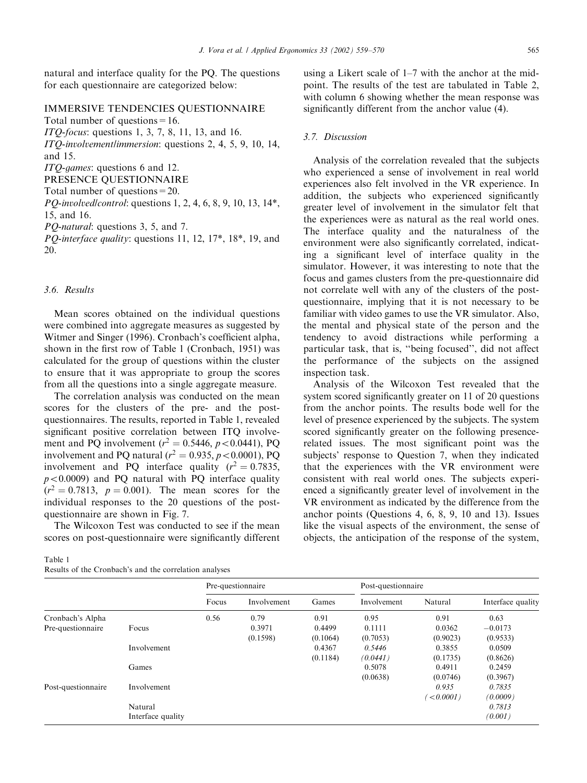natural and interface quality for the PQ. The questions for each questionnaire are categorized below:

## IMMERSIVE TENDENCIES QUESTIONNAIRE

Total number of questions=16. *ITQ-focus:* questions 1, 3, 7, 8, 11, 13, and 16. ITQ-involvement/immersion: questions 2, 4, 5, 9, 10, 14, and 15.  $ITQ$ -games: questions 6 and 12. PRESENCE QUESTIONNAIRE Total number of questions=20. PO-involved/control: questions 1, 2, 4, 6, 8, 9, 10, 13, 14<sup>\*</sup>, 15, and 16. PO-natural: questions 3, 5, and 7. *PQ-interface quality:* questions 11, 12, 17\*, 18\*, 19, and 20.

## 3.6. Results

Mean scores obtained on the individual questions were combined into aggregate measures as suggested by Witmer and Singer (1996). Cronbach's coefficient alpha, shown in the first row of Table 1 (Cronbach, 1951) was calculated for the group of questions within the cluster to ensure that it was appropriate to group the scores from all the questions into a single aggregate measure.

The correlation analysis was conducted on the mean scores for the clusters of the pre- and the postquestionnaires. The results, reported in Table 1, revealed significant positive correlation between ITQ involvement and PQ involvement ( $r^2 = 0.5446$ ,  $p < 0.0441$ ), PQ involvement and PQ natural  $(r^2 = 0.935, p < 0.0001)$ , PQ involvement and PQ interface quality  $(r^2 = 0.7835)$ ,  $p < 0.0009$ ) and PQ natural with PQ interface quality  $(r^2 = 0.7813, p = 0.001)$ . The mean scores for the individual responses to the 20 questions of the postquestionnaire are shown in Fig. 7.

The Wilcoxon Test was conducted to see if the mean scores on post-questionnaire were significantly different

| явк |  |
|-----|--|
|-----|--|

|  |  |  | Results of the Cronbach's and the correlation analyses |  |
|--|--|--|--------------------------------------------------------|--|
|  |  |  |                                                        |  |

using a Likert scale of 1–7 with the anchor at the midpoint. The results of the test are tabulated in Table 2, with column 6 showing whether the mean response was significantly different from the anchor value (4).

## 3.7. Discussion

Analysis of the correlation revealed that the subjects who experienced a sense of involvement in real world experiences also felt involved in the VR experience. In addition, the subjects who experienced significantly greater level of involvement in the simulator felt that the experiences were as natural as the real world ones. The interface quality and the naturalness of the environment were also significantly correlated, indicating a significant level of interface quality in the simulator. However, it was interesting to note that the focus and games clusters from the pre-questionnaire did not correlate well with any of the clusters of the postquestionnaire, implying that it is not necessary to be familiar with video games to use the VR simulator. Also, the mental and physical state of the person and the tendency to avoid distractions while performing a particular task, that is, ''being focused'', did not affect the performance of the subjects on the assigned inspection task.

Analysis of the Wilcoxon Test revealed that the system scored significantly greater on 11 of 20 questions from the anchor points. The results bode well for the level of presence experienced by the subjects. The system scored significantly greater on the following presencerelated issues. The most significant point was the subjects' response to Question 7, when they indicated that the experiences with the VR environment were consistent with real world ones. The subjects experienced a significantly greater level of involvement in the VR environment as indicated by the difference from the anchor points (Questions 4, 6, 8, 9, 10 and 13). Issues like the visual aspects of the environment, the sense of objects, the anticipation of the response of the system,

|                    |                   | Pre-questionnaire |             |          | Post-questionnaire |                 |                   |
|--------------------|-------------------|-------------------|-------------|----------|--------------------|-----------------|-------------------|
|                    |                   | Focus             | Involvement | Games    | Involvement        | Natural         | Interface quality |
| Cronbach's Alpha   |                   | 0.56              | 0.79        | 0.91     | 0.95               | 0.91            | 0.63              |
| Pre-questionnaire  | Focus             |                   | 0.3971      | 0.4499   | 0.1111             | 0.0362          | $-0.0173$         |
|                    |                   |                   | (0.1598)    | (0.1064) | (0.7053)           | (0.9023)        | (0.9533)          |
|                    | Involvement       |                   |             | 0.4367   | 0.5446             | 0.3855          | 0.0509            |
|                    |                   |                   |             | (0.1184) | (0.0441)           | (0.1735)        | (0.8626)          |
|                    | Games             |                   |             |          | 0.5078             | 0.4911          | 0.2459            |
|                    |                   |                   |             |          | (0.0638)           | (0.0746)        | (0.3967)          |
| Post-questionnaire | Involvement       |                   |             |          |                    | 0.935           | 0.7835            |
|                    |                   |                   |             |          |                    | $\leq 0.0001$ ) | (0.0009)          |
|                    | Natural           |                   |             |          |                    |                 | 0.7813            |
|                    | Interface quality |                   |             |          |                    |                 | (0.001)           |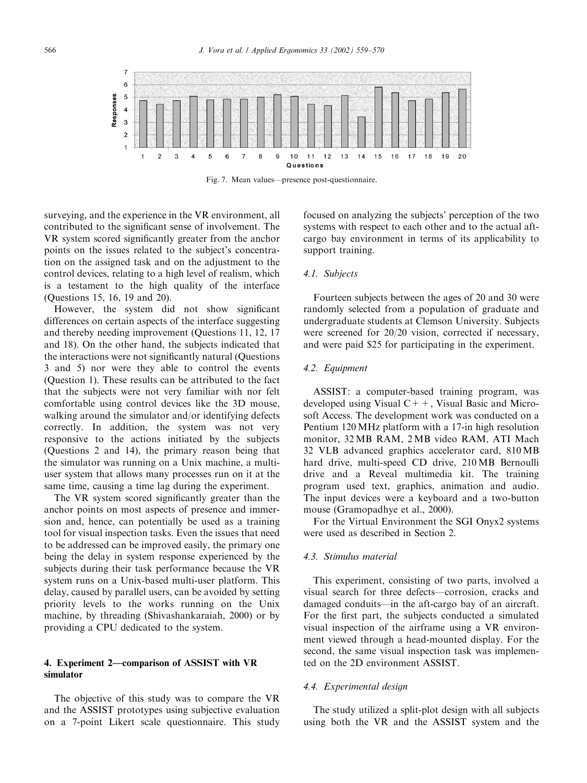

Fig. 7. Mean values—presence post-questionnaire.

surveying, and the experience in the VR environment, all contributed to the significant sense of involvement. The VR system scored significantly greater from the anchor points on the issues related to the subject's concentration on the assigned task and on the adjustment to the control devices, relating to a high level of realism, which is a testament to the high quality of the interface (Questions 15, 16, 19 and 20).

However, the system did not show significant differences on certain aspects of the interface suggesting and thereby needing improvement (Questions 11, 12, 17 and 18). On the other hand, the subjects indicated that the interactions were not significantly natural (Questions 3 and 5) nor were they able to control the events (Question 1). These results can be attributed to the fact that the subjects were not very familiar with nor felt comfortable using control devices like the 3D mouse, walking around the simulator and/or identifying defects correctly. In addition, the system was not very responsive to the actions initiated by the subjects (Questions 2 and 14), the primary reason being that the simulator was running on a Unix machine, a multiuser system that allows many processes run on it at the same time, causing a time lag during the experiment.

The VR system scored significantly greater than the anchor points on most aspects of presence and immersion and, hence, can potentially be used as a training tool for visual inspection tasks. Even the issues that need to be addressed can be improved easily, the primary one being the delay in system response experienced by the subjects during their task performance because the VR system runs on a Unix-based multi-user platform. This delay, caused by parallel users, can be avoided by setting priority levels to the works running on the Unix machine, by threading (Shivashankaraiah, 2000) or by providing a CPU dedicated to the system.

## 4. Experiment 2—comparison of ASSIST with VR simulator

The objective of this study was to compare the VR and the ASSIST prototypes using subjective evaluation on a 7-point Likert scale questionnaire. This study

focused on analyzing the subjects' perception of the two systems with respect to each other and to the actual aftcargo bay environment in terms of its applicability to support training.

## 4.1. Subjects

Fourteen subjects between the ages of 20 and 30 were randomly selected from a population of graduate and undergraduate students at Clemson University. Subjects were screened for 20/20 vision, corrected if necessary, and were paid \$25 for participating in the experiment.

#### 4.2. Equipment

ASSIST:a computer-based training program, was developed using Visual  $C++$ , Visual Basic and Microsoft Access. The development work was conducted on a Pentium 120 MHz platform with a 17-in high resolution monitor, 32 MB RAM, 2 MB video RAM, ATI Mach 32 VLB advanced graphics accelerator card, 810 MB hard drive, multi-speed CD drive, 210 MB Bernoulli drive and a Reveal multimedia kit. The training program used text, graphics, animation and audio. The input devices were a keyboard and a two-button mouse (Gramopadhye et al., 2000).

For the Virtual Environment the SGI Onyx2 systems were used as described in Section 2.

## 4.3. Stimulus material

This experiment, consisting of two parts, involved a visual search for three defects—corrosion, cracks and damaged conduits—in the aft-cargo bay of an aircraft. For the first part, the subjects conducted a simulated visual inspection of the airframe using a VR environment viewed through a head-mounted display. For the second, the same visual inspection task was implemented on the 2D environment ASSIST.

## 4.4. Experimental design

The study utilized a split-plot design with all subjects using both the VR and the ASSIST system and the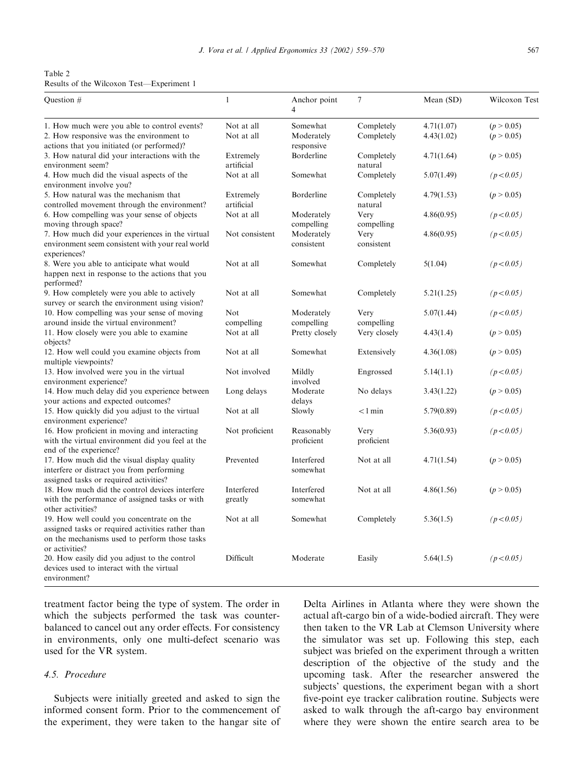| Table 2                                   |  |  |
|-------------------------------------------|--|--|
| Results of the Wilcoxon Test—Experiment 1 |  |  |

| Question #                                                                                                                                                        | $\mathbf{1}$            | Anchor point<br>4        | $\tau$                | Mean (SD)  | Wilcoxon Test |
|-------------------------------------------------------------------------------------------------------------------------------------------------------------------|-------------------------|--------------------------|-----------------------|------------|---------------|
| 1. How much were you able to control events?                                                                                                                      | Not at all              | Somewhat                 | Completely            | 4.71(1.07) | (p > 0.05)    |
| 2. How responsive was the environment to<br>actions that you initiated (or performed)?                                                                            | Not at all              | Moderately<br>responsive | Completely            | 4.43(1.02) | (p > 0.05)    |
| 3. How natural did your interactions with the<br>environment seem?                                                                                                | Extremely<br>artificial | Borderline               | Completely<br>natural | 4.71(1.64) | (p > 0.05)    |
| 4. How much did the visual aspects of the<br>environment involve you?                                                                                             | Not at all              | Somewhat                 | Completely            | 5.07(1.49) | (p < 0.05)    |
| 5. How natural was the mechanism that<br>controlled movement through the environment?                                                                             | Extremely<br>artificial | Borderline               | Completely<br>natural | 4.79(1.53) | (p > 0.05)    |
| 6. How compelling was your sense of objects<br>moving through space?                                                                                              | Not at all              | Moderately<br>compelling | Very<br>compelling    | 4.86(0.95) | (p < 0.05)    |
| 7. How much did your experiences in the virtual<br>environment seem consistent with your real world<br>experiences?                                               | Not consistent          | Moderately<br>consistent | Very<br>consistent    | 4.86(0.95) | (p < 0.05)    |
| 8. Were you able to anticipate what would<br>happen next in response to the actions that you<br>performed?                                                        | Not at all              | Somewhat                 | Completely            | 5(1.04)    | (p < 0.05)    |
| 9. How completely were you able to actively<br>survey or search the environment using vision?                                                                     | Not at all              | Somewhat                 | Completely            | 5.21(1.25) | (p < 0.05)    |
| 10. How compelling was your sense of moving<br>around inside the virtual environment?                                                                             | Not<br>compelling       | Moderately<br>compelling | Very<br>compelling    | 5.07(1.44) | (p < 0.05)    |
| 11. How closely were you able to examine<br>objects?                                                                                                              | Not at all              | Pretty closely           | Very closely          | 4.43(1.4)  | (p > 0.05)    |
| 12. How well could you examine objects from<br>multiple viewpoints?                                                                                               | Not at all              | Somewhat                 | Extensively           | 4.36(1.08) | (p > 0.05)    |
| 13. How involved were you in the virtual<br>environment experience?                                                                                               | Not involved            | Mildly<br>involved       | Engrossed             | 5.14(1.1)  | (p < 0.05)    |
| 14. How much delay did you experience between<br>your actions and expected outcomes?                                                                              | Long delays             | Moderate<br>delays       | No delays             | 3.43(1.22) | (p > 0.05)    |
| 15. How quickly did you adjust to the virtual<br>environment experience?                                                                                          | Not at all              | Slowly                   | $<$ 1 min             | 5.79(0.89) | (p < 0.05)    |
| 16. How proficient in moving and interacting<br>with the virtual environment did you feel at the<br>end of the experience?                                        | Not proficient          | Reasonably<br>proficient | Very<br>proficient    | 5.36(0.93) | (p < 0.05)    |
| 17. How much did the visual display quality<br>interfere or distract you from performing<br>assigned tasks or required activities?                                | Prevented               | Interfered<br>somewhat   | Not at all            | 4.71(1.54) | (p > 0.05)    |
| 18. How much did the control devices interfere<br>with the performance of assigned tasks or with<br>other activities?                                             | Interfered<br>greatly   | Interfered<br>somewhat   | Not at all            | 4.86(1.56) | (p > 0.05)    |
| 19. How well could you concentrate on the<br>assigned tasks or required activities rather than<br>on the mechanisms used to perform those tasks<br>or activities? | Not at all              | Somewhat                 | Completely            | 5.36(1.5)  | (p < 0.05)    |
| 20. How easily did you adjust to the control<br>devices used to interact with the virtual<br>environment?                                                         | Difficult               | Moderate                 | Easily                | 5.64(1.5)  | (p < 0.05)    |

treatment factor being the type of system. The order in which the subjects performed the task was counterbalanced to cancel out any order effects. For consistency in environments, only one multi-defect scenario was used for the VR system.

# 4.5. Procedure

Subjects were initially greeted and asked to sign the informed consent form. Prior to the commencement of the experiment, they were taken to the hangar site of Delta Airlines in Atlanta where they were shown the actual aft-cargo bin of a wide-bodied aircraft. They were then taken to the VR Lab at Clemson University where the simulator was set up. Following this step, each subject was briefed on the experiment through a written description of the objective of the study and the upcoming task. After the researcher answered the subjects' questions, the experiment began with a short five-point eye tracker calibration routine. Subjects were asked to walk through the aft-cargo bay environment where they were shown the entire search area to be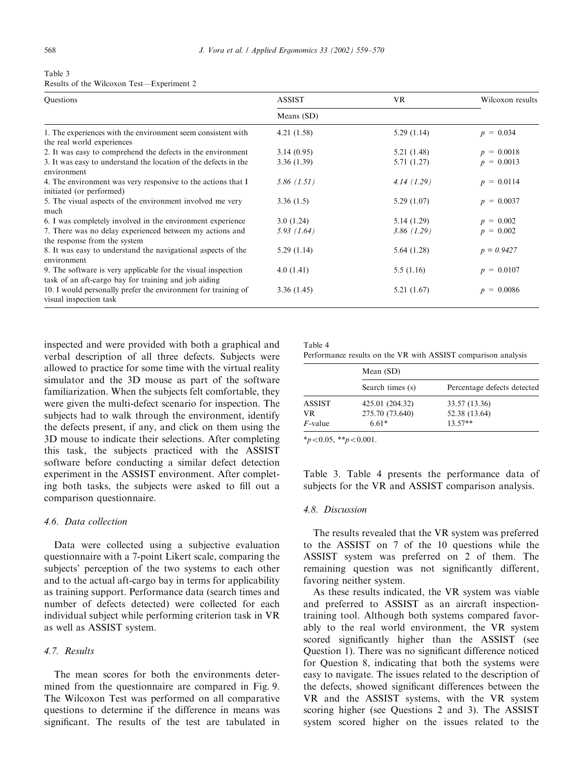| Table 3                                   |  |
|-------------------------------------------|--|
| Results of the Wilcoxon Test—Experiment 2 |  |

| Questions                                                                                                            | <b>ASSIST</b> | <b>VR</b>   | Wilcoxon results |
|----------------------------------------------------------------------------------------------------------------------|---------------|-------------|------------------|
|                                                                                                                      | Means (SD)    |             |                  |
| 1. The experiences with the environment seem consistent with<br>the real world experiences                           | 4.21(1.58)    | 5.29(1.14)  | $p = 0.034$      |
| 2. It was easy to comprehend the defects in the environment                                                          | 3.14(0.95)    | 5.21 (1.48) | $p = 0.0018$     |
| 3. It was easy to understand the location of the defects in the<br>environment                                       | 3.36(1.39)    | 5.71 (1.27) | $p = 0.0013$     |
| 4. The environment was very responsive to the actions that I<br>initiated (or performed)                             | 5.86(1.51)    | 4.14(1.29)  | $p = 0.0114$     |
| 5. The visual aspects of the environment involved me very<br>much                                                    | 3.36(1.5)     | 5.29 (1.07) | $p = 0.0037$     |
| 6. I was completely involved in the environment experience                                                           | 3.0(1.24)     | 5.14 (1.29) | $p = 0.002$      |
| 7. There was no delay experienced between my actions and<br>the response from the system                             | 5.93(1.64)    | 3.86(1.29)  | $p = 0.002$      |
| 8. It was easy to understand the navigational aspects of the<br>environment                                          | 5.29(1.14)    | 5.64 (1.28) | $p = 0.9427$     |
| 9. The software is very applicable for the visual inspection<br>task of an aft-cargo bay for training and job aiding | 4.0(1.41)     | 5.5(1.16)   | $p = 0.0107$     |
| 10. I would personally prefer the environment for training of<br>visual inspection task                              | 3.36(1.45)    | 5.21 (1.67) | $p = 0.0086$     |

inspected and were provided with both a graphical and verbal description of all three defects. Subjects were allowed to practice for some time with the virtual reality simulator and the 3D mouse as part of the software familiarization. When the subjects felt comfortable, they were given the multi-defect scenario for inspection. The subjects had to walk through the environment, identify the defects present, if any, and click on them using the 3D mouse to indicate their selections. After completing this task, the subjects practiced with the ASSIST software before conducting a similar defect detection experiment in the ASSIST environment. After completing both tasks, the subjects were asked to fill out a comparison questionnaire.

## 4.6. Data collection

Data were collected using a subjective evaluation questionnaire with a 7-point Likert scale, comparing the subjects' perception of the two systems to each other and to the actual aft-cargo bay in terms for applicability as training support. Performance data (search times and number of defects detected) were collected for each individual subject while performing criterion task in VR as well as ASSIST system.

# 4.7. Results

The mean scores for both the environments determined from the questionnaire are compared in Fig. 9. The Wilcoxon Test was performed on all comparative questions to determine if the difference in means was significant. The results of the test are tabulated in

| Table |  |
|-------|--|
|-------|--|

| Performance results on the VR with ASSIST comparison analysis |  |  |
|---------------------------------------------------------------|--|--|
|---------------------------------------------------------------|--|--|

|               | Mean (SD)        |                             |  |  |
|---------------|------------------|-----------------------------|--|--|
|               | Search times (s) | Percentage defects detected |  |  |
| <b>ASSIST</b> | 425.01 (204.32)  | 33.57 (13.36)               |  |  |
| VR.           | 275.70 (73.640)  | 52.38 (13.64)               |  |  |
| $F$ -value    | $6.61*$          | $13.57**$                   |  |  |

 $*_{p<0.05,}$   $*_{p<0.001.}$ 

Table 3. Table 4 presents the performance data of subjects for the VR and ASSIST comparison analysis.

## 4.8. Discussion

The results revealed that the VR system was preferred to the ASSIST on 7 of the 10 questions while the ASSIST system was preferred on 2 of them. The remaining question was not significantly different, favoring neither system.

As these results indicated, the VR system was viable and preferred to ASSIST as an aircraft inspectiontraining tool. Although both systems compared favorably to the real world environment, the VR system scored significantly higher than the ASSIST (see Question 1). There was no significant difference noticed for Question 8, indicating that both the systems were easy to navigate. The issues related to the description of the defects, showed significant differences between the VR and the ASSIST systems, with the VR system scoring higher (see Questions 2 and 3). The ASSIST system scored higher on the issues related to the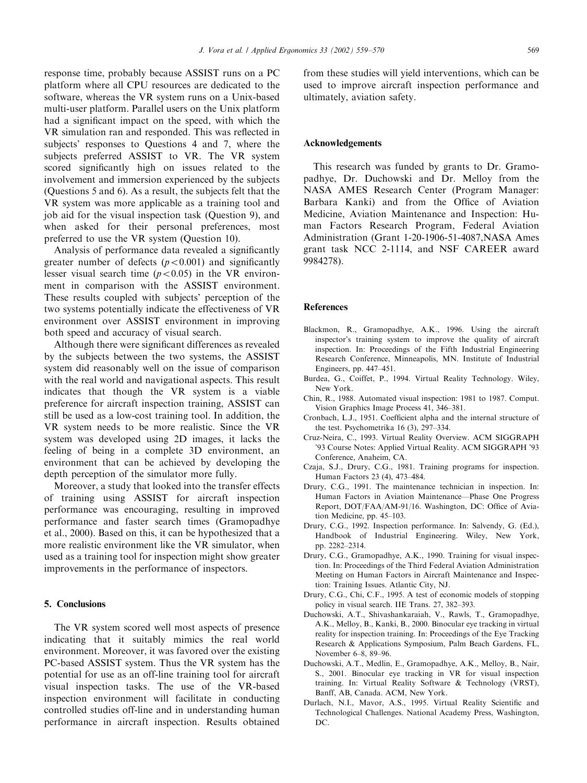response time, probably because ASSIST runs on a PC platform where all CPU resources are dedicated to the software, whereas the VR system runs on a Unix-based multi-user platform. Parallel users on the Unix platform had a significant impact on the speed, with which the VR simulation ran and responded. This was reflected in subjects' responses to Questions 4 and 7, where the subjects preferred ASSIST to VR. The VR system scored significantly high on issues related to the involvement and immersion experienced by the subjects (Questions 5 and 6). As a result, the subjects felt that the VR system was more applicable as a training tool and job aid for the visual inspection task (Question 9), and when asked for their personal preferences, most preferred to use the VR system (Question 10).

Analysis of performance data revealed a significantly greater number of defects  $(p<0.001)$  and significantly lesser visual search time  $(p<0.05)$  in the VR environment in comparison with the ASSIST environment. These results coupled with subjects' perception of the two systems potentially indicate the effectiveness of VR environment over ASSIST environment in improving both speed and accuracy of visual search.

Although there were significant differences as revealed by the subjects between the two systems, the ASSIST system did reasonably well on the issue of comparison with the real world and navigational aspects. This result indicates that though the VR system is a viable preference for aircraft inspection training, ASSIST can still be used as a low-cost training tool. In addition, the VR system needs to be more realistic. Since the VR system was developed using 2D images, it lacks the feeling of being in a complete 3D environment, an environment that can be achieved by developing the depth perception of the simulator more fully.

Moreover, a study that looked into the transfer effects of training using ASSIST for aircraft inspection performance was encouraging, resulting in improved performance and faster search times (Gramopadhye et al., 2000). Based on this, it can be hypothesized that a more realistic environment like the VR simulator, when used as a training tool for inspection might show greater improvements in the performance of inspectors.

# 5. Conclusions

The VR system scored well most aspects of presence indicating that it suitably mimics the real world environment. Moreover, it was favored over the existing PC-based ASSIST system. Thus the VR system has the potential for use as an off-line training tool for aircraft visual inspection tasks. The use of the VR-based inspection environment will facilitate in conducting controlled studies off-line and in understanding human performance in aircraft inspection. Results obtained

from these studies will yield interventions, which can be used to improve aircraft inspection performance and ultimately, aviation safety.

## Acknowledgements

This research was funded by grants to Dr. Gramopadhye, Dr. Duchowski and Dr. Melloy from the NASA AMES Research Center (Program Manager: Barbara Kanki) and from the Office of Aviation Medicine, Aviation Maintenance and Inspection: Human Factors Research Program, Federal Aviation Administration (Grant 1-20-1906-51-4087,NASA Ames grant task NCC 2-1114, and NSF CAREER award 9984278).

#### References

- Blackmon, R., Gramopadhye, A.K., 1996. Using the aircraft inspector's training system to improve the quality of aircraft inspection. In: Proceedings of the Fifth Industrial Engineering Research Conference, Minneapolis, MN. Institute of Industrial Engineers, pp. 447–451.
- Burdea, G., Coiffet, P., 1994. Virtual Reality Technology. Wiley, New York.
- Chin, R., 1988. Automated visual inspection:1981 to 1987. Comput. Vision Graphics Image Process 41, 346–381.
- Cronbach, L.J., 1951. Coefficient alpha and the internal structure of the test. Psychometrika 16 (3), 297–334.
- Cruz-Neira, C., 1993. Virtual Reality Overview. ACM SIGGRAPH '93 Course Notes: Applied Virtual Reality. ACM SIGGRAPH '93 Conference, Anaheim, CA.
- Czaja, S.J., Drury, C.G., 1981. Training programs for inspection. Human Factors 23 (4), 473–484.
- Drury, C.G., 1991. The maintenance technician in inspection. In: Human Factors in Aviation Maintenance—Phase One Progress Report, DOT/FAA/AM-91/16. Washington, DC: Office of Aviation Medicine, pp. 45–103.
- Drury, C.G., 1992. Inspection performance. In: Salvendy, G. (Ed.), Handbook of Industrial Engineering. Wiley, New York, pp. 2282–2314.
- Drury, C.G., Gramopadhye, A.K., 1990. Training for visual inspection. In:Proceedings of the Third Federal Aviation Administration Meeting on Human Factors in Aircraft Maintenance and Inspection: Training Issues. Atlantic City, NJ.
- Drury, C.G., Chi, C.F., 1995. A test of economic models of stopping policy in visual search. IIE Trans. 27, 382–393.
- Duchowski, A.T., Shivashankaraiah, V., Rawls, T., Gramopadhye, A.K., Melloy, B., Kanki, B., 2000. Binocular eye tracking in virtual reality for inspection training. In: Proceedings of the Eye Tracking Research & Applications Symposium, Palm Beach Gardens, FL, November 6–8, 89–96.
- Duchowski, A.T., Medlin, E., Gramopadhye, A.K., Melloy, B., Nair, S., 2001. Binocular eye tracking in VR for visual inspection training. In: Virtual Reality Software & Technology (VRST), Banff, AB, Canada. ACM, New York.
- Durlach, N.I., Mavor, A.S., 1995. Virtual Reality Scientific and Technological Challenges. National Academy Press, Washington, DC.